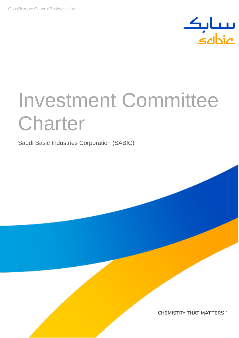

# Investment Committee **Charter**

Saudi Basic Industries Corporation (SABIC)

CHEMISTRY THAT MATTERS™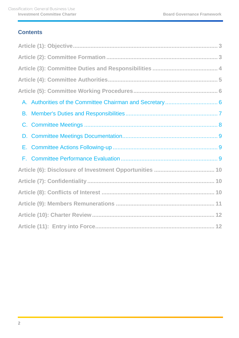## **Contents**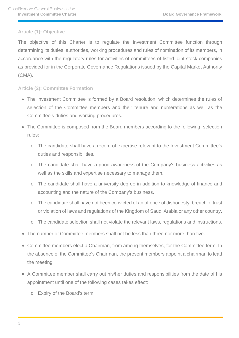## <span id="page-2-0"></span>**Article (1): Objective**

The objective of this Charter is to regulate the Investment Committee function through determining its duties, authorities, working procedures and rules of nomination of its members, in accordance with the regulatory rules for activities of committees of listed joint stock companies as provided for in the Corporate Governance Regulations issued by the Capital Market Authority (CMA).

### <span id="page-2-1"></span>**Article (2): Committee Formation**

- The Investment Committee is formed by a Board resolution, which determines the rules of selection of the Committee members and their tenure and numerations as well as the Committee's duties and working procedures.
- The Committee is composed from the Board members according to the following selection rules:
	- o The candidate shall have a record of expertise relevant to the Investment Committee's duties and responsibilities.
	- o The candidate shall have a good awareness of the Company's business activities as well as the skills and expertise necessary to manage them.
	- o The candidate shall have a university degree in addition to knowledge of finance and accounting and the nature of the Company's business.
	- o The candidate shall have not been convicted of an offence of dishonesty, breach of trust or violation of laws and regulations of the Kingdom of Saudi Arabia or any other country.
	- o The candidate selection shall not violate the relevant laws, regulations and instructions.
- The number of Committee members shall not be less than three nor more than five.
- Committee members elect a Chairman, from among themselves, for the Committee term. In the absence of the Committee's Chairman, the present members appoint a chairman to lead the meeting.
- A Committee member shall carry out his/her duties and responsibilities from the date of his appointment until one of the following cases takes effect:
	- o Expiry of the Board's term.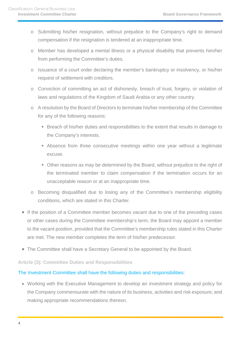- o Submitting his/her resignation, without prejudice to the Company's right to demand compensation if the resignation is tendered at an inappropriate time.
- o Member has developed a mental illness or a physical disability that prevents him/her from performing the Committee's duties.
- o Issuance of a court order declaring the member's bankruptcy or insolvency, or his/her request of settlement with creditors.
- o Conviction of committing an act of dishonesty, breach of trust, forgery, or violation of laws and regulations of the Kingdom of Saudi Arabia or any other country.
- o A resolution by the Board of Directors to terminate his/her membership of the Committee for any of the following reasons:
	- Breach of his/her duties and responsibilities to the extent that results in damage to the Company's interests.
	- Absence from three consecutive meetings within one year without a legitimate excuse.
	- Other reasons as may be determined by the Board, without prejudice to the right of the terminated member to claim compensation if the termination occurs for an unacceptable reason or at an inappropriate time.
- o Becoming disqualified due to losing any of the Committee's membership eligibility conditions, which are stated in this Charter.
- If the position of a Committee member becomes vacant due to one of the preceding cases or other cases during the Committee membership's term, the Board may appoint a member to the vacant position, provided that the Committee's membership rules stated in this Charter are met. The new member completes the term of his/her predecessor.
- The Committee shall have a Secretary General to be appointed by the Board.

## <span id="page-3-0"></span>**Article (3): Committee Duties and Responsibilities**

## The Investment Committee shall have the following duties and responsibilities:

• Working with the Executive Management to develop an investment strategy and policy for the Company commensurate with the nature of its business, activities and risk exposure; and making appropriate recommendations thereon.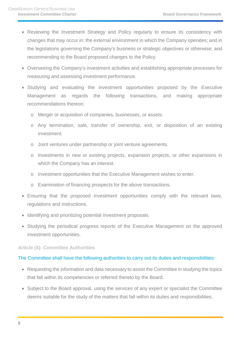- Reviewing the Investment Strategy and Policy regularly to ensure its consistency with changes that may occur in: the external environment in which the Company operates; and in the legislations governing the Company's business or strategic objectives or otherwise; and recommending to the Board proposed changes to the Policy.
- Overseeing the Company's investment activities and establishing appropriate processes for measuring and assessing investment performance.
- Studying and evaluating the investment opportunities proposed by the Executive Management as regards the following transactions, and making appropriate recommendations thereon:
	- o Merger or acquisition of companies, businesses, or assets.
	- o Any termination, sale, transfer of ownership, exit, or disposition of an existing investment.
	- o Joint ventures under partnership or joint venture agreements.
	- o Investments in new or existing projects, expansion projects, or other expansions in which the Company has an interest.
	- o Investment opportunities that the Executive Management wishes to enter.
	- o Examination of financing prospects for the above transactions.
- Ensuring that the proposed investment opportunities comply with the relevant laws, regulations and instructions.
- Identifying and prioritizing potential investment proposals.
- Studying the periodical progress reports of the Executive Management on the approved investment opportunities.

#### <span id="page-4-0"></span>**Article (4): Committee Authorities**

## The Committee shall have the following authorities to carry out its duties and responsibilities:

- Requesting the information and data necessary to assist the Committee in studying the topics that fall within its competencies or referred thereto by the Board.
- Subject to the Board approval, using the services of any expert or specialist the Committee deems suitable for the study of the matters that fall within its duties and responsibilities.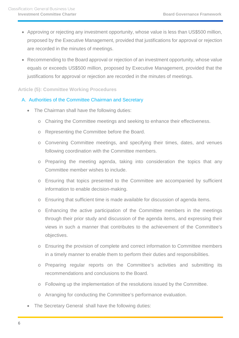- Approving or rejecting any investment opportunity, whose value is less than US\$500 million, proposed by the Executive Management, provided that justifications for approval or rejection are recorded in the minutes of meetings.
- Recommending to the Board approval or rejection of an investment opportunity, whose value equals or exceeds US\$500 million, proposed by Executive Management, provided that the justifications for approval or rejection are recorded in the minutes of meetings.

### <span id="page-5-0"></span>**Article (5): Committee Working Procedures**

## <span id="page-5-1"></span>A. Authorities of the Committee Chairman and Secretary

- The Chairman shall have the following duties:
	- o Chairing the Committee meetings and seeking to enhance their effectiveness.
	- o Representing the Committee before the Board.
	- o Convening Committee meetings, and specifying their times, dates, and venues following coordination with the Committee members.
	- o Preparing the meeting agenda, taking into consideration the topics that any Committee member wishes to include.
	- o Ensuring that topics presented to the Committee are accompanied by sufficient information to enable decision-making.
	- o Ensuring that sufficient time is made available for discussion of agenda items.
	- o Enhancing the active participation of the Committee members in the meetings through their prior study and discussion of the agenda items, and expressing their views in such a manner that contributes to the achievement of the Committee's objectives.
	- o Ensuring the provision of complete and correct information to Committee members in a timely manner to enable them to perform their duties and responsibilities.
	- o Preparing regular reports on the Committee's activities and submitting its recommendations and conclusions to the Board.
	- o Following up the implementation of the resolutions issued by the Committee.
	- o Arranging for conducting the Committee's performance evaluation.
- The Secretary General shall have the following duties: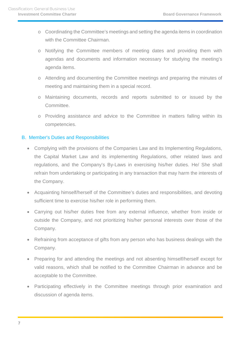- o Coordinating the Committee's meetings and setting the agenda items in coordination with the Committee Chairman.
- o Notifying the Committee members of meeting dates and providing them with agendas and documents and information necessary for studying the meeting's agenda items.
- o Attending and documenting the Committee meetings and preparing the minutes of meeting and maintaining them in a special record.
- o Maintaining documents, records and reports submitted to or issued by the Committee.
- o Providing assistance and advice to the Committee in matters falling within its competencies.

## <span id="page-6-0"></span>B. Member's Duties and Responsibilities

- Complying with the provisions of the Companies Law and its Implementing Regulations, the Capital Market Law and its implementing Regulations, other related laws and regulations, and the Company's By-Laws in exercising his/her duties. He/ She shall refrain from undertaking or participating in any transaction that may harm the interests of the Company.
- Acquainting himself/herself of the Committee's duties and responsibilities, and devoting sufficient time to exercise his/her role in performing them.
- Carrying out his/her duties free from any external influence, whether from inside or outside the Company, and not prioritizing his/her personal interests over those of the Company.
- Refraining from acceptance of gifts from any person who has business dealings with the Company.
- Preparing for and attending the meetings and not absenting himself/herself except for valid reasons, which shall be notified to the Committee Chairman in advance and be acceptable to the Committee.
- Participating effectively in the Committee meetings through prior examination and discussion of agenda items.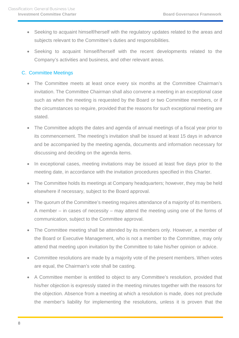- Seeking to acquaint himself/herself with the regulatory updates related to the areas and subjects relevant to the Committee's duties and responsibilities.
- Seeking to acquaint himself/herself with the recent developments related to the Company's activities and business, and other relevant areas.

## <span id="page-7-0"></span>C. Committee Meetings

- The Committee meets at least once every six months at the Committee Chairman's invitation. The Committee Chairman shall also convene a meeting in an exceptional case such as when the meeting is requested by the Board or two Committee members, or if the circumstances so require, provided that the reasons for such exceptional meeting are stated.
- The Committee adopts the dates and agenda of annual meetings of a fiscal year prior to its commencement. The meeting's invitation shall be issued at least 15 days in advance and be accompanied by the meeting agenda, documents and information necessary for discussing and deciding on the agenda items.
- In exceptional cases, meeting invitations may be issued at least five days prior to the meeting date, in accordance with the invitation procedures specified in this Charter.
- The Committee holds its meetings at Company headquarters; however, they may be held elsewhere if necessary, subject to the Board approval.
- The quorum of the Committee's meeting requires attendance of a majority of its members. A member – in cases of necessity – may attend the meeting using one of the forms of communication, subject to the Committee approval.
- The Committee meeting shall be attended by its members only. However, a member of the Board or Executive Management, who is not a member to the Committee, may only attend that meeting upon invitation by the Committee to take his/her opinion or advice.
- Committee resolutions are made by a majority vote of the present members. When votes are equal, the Chairman's vote shall be casting.
- A Committee member is entitled to object to any Committee's resolution, provided that his/her objection is expressly stated in the meeting minutes together with the reasons for the objection. Absence from a meeting at which a resolution is made, does not preclude the member's liability for implementing the resolutions, unless it is proven that the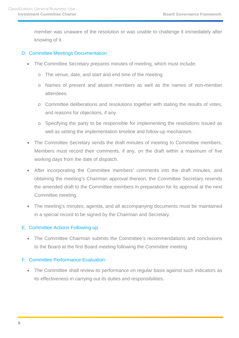member was unaware of the resolution or was unable to challenge it immediately after knowing of it.

## <span id="page-8-0"></span>D. Committee Meetings Documentation

- The Committee Secretary prepares minutes of meeting, which must include:
	- o The venue, date, and start and end time of the meeting.
	- o Names of present and absent members as well as the names of non-member attendees.
	- o Committee deliberations and resolutions together with stating the results of votes, and reasons for objections, if any.
	- o Specifying the party to be responsible for implementing the resolutions issued as well as setting the implementation timeline and follow-up mechanism.
- The Committee Secretary sends the draft minutes of meeting to Committee members. Members must record their comments, if any, on the draft within a maximum of five working days from the date of dispatch.
- After incorporating the Committee members' comments into the draft minutes, and obtaining the meeting's Chairman approval thereon, the Committee Secretary resends the amended draft to the Committee members in preparation for its approval at the next Committee meeting.
- The meeting's minutes, agenda, and all accompanying documents must be maintained in a special record to be signed by the Chairman and Secretary.

## <span id="page-8-1"></span>E. Committee Actions Following-up

• The Committee Chairman submits the Committee's recommendations and conclusions to the Board at the first Board meeting following the Committee meeting.

## <span id="page-8-2"></span>F. Committee Performance Evaluation

• The Committee shall review its performance on regular basis against such indicators as its effectiveness in carrying out its duties and responsibilities.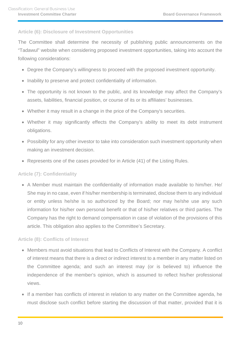## <span id="page-9-0"></span>**Article (6): Disclosure of Investment Opportunities**

The Committee shall determine the necessity of publishing public announcements on the "Tadawul" website when considering proposed investment opportunities, taking into account the following considerations:

- Degree the Company's willingness to proceed with the proposed investment opportunity.
- Inability to preserve and protect confidentiality of information.
- The opportunity is not known to the public, and its knowledge may affect the Company's assets, liabilities, financial position, or course of its or its affiliates' businesses.
- Whether it may result in a change in the price of the Company's securities.
- Whether it may significantly effects the Company's ability to meet its debt instrument obligations.
- Possibility for any other investor to take into consideration such investment opportunity when making an investment decision.
- Represents one of the cases provided for in Article (41) of the Listing Rules.

## <span id="page-9-1"></span>**Article (7): Confidentiality**

• A Member must maintain the confidentiality of information made available to him/her. He/ She may in no case, even if his/her membership is terminated, disclose them to any individual or entity unless he/she is so authorized by the Board; nor may he/she use any such information for his/her own personal benefit or that of his/her relatives or third parties. The Company has the right to demand compensation in case of violation of the provisions of this article. This obligation also applies to the Committee's Secretary.

## <span id="page-9-2"></span>**Article (8): Conflicts of Interest**

- Members must avoid situations that lead to Conflicts of Interest with the Company. A conflict of interest means that there is a direct or indirect interest to a member in any matter listed on the Committee agenda; and such an interest may (or is believed to) influence the independence of the member's opinion, which is assumed to reflect his/her professional views.
- If a member has conflicts of interest in relation to any matter on the Committee agenda, he must disclose such conflict before starting the discussion of that matter, provided that it is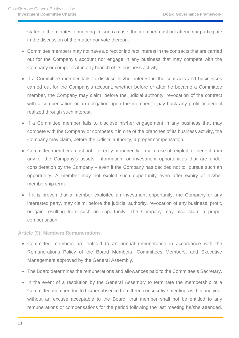stated in the minutes of meeting. In such a case, the member must not attend nor participate in the discussion of the matter nor vote thereon.

- Committee members may not have a direct or indirect interest in the contracts that are carried out for the Company's account nor engage in any business that may compete with the Company or competes it in any branch of its business activity.
- If a Committee member fails to disclose his/her interest in the contracts and businesses carried out for the Company's account, whether before or after he became a Committee member, the Company may claim, before the judicial authority, revocation of the contract with a compensation or an obligation upon the member to pay back any profit or benefit realized through such interest.
- If a Committee member fails to disclose his/her engagement in any business that may compete with the Company or competes it in one of the branches of its business activity, the Company may claim, before the judicial authority, a proper compensation.
- Committee members must not directly or indirectly make use of, exploit, or benefit from any of the Company's assets, information, or investment opportunities that are under consideration by the Company – even if the Company has decided not to pursue such an opportunity. A member may not exploit such opportunity even after expiry of his/her membership term.
- If it is proven that a member exploited an investment opportunity, the Company or any interested party, may claim, before the judicial authority, revocation of any business, profit, or gain resulting from such an opportunity. The Company may also claim a proper compensation.

<span id="page-10-0"></span>**Article (9): Members Remunerations** 

- Committee members are entitled to an annual remuneration in accordance with the Remunerations Policy of the Board Members, Committees Members, and Executive Management approved by the General Assembly.
- The Board determines the remunerations and allowances paid to the Committee's Secretary.
- In the event of a resolution by the General Assembly to terminate the membership of a Committee member due to his/her absence from three consecutive meetings within one year without an excuse acceptable to the Board, that member shall not be entitled to any remunerations or compensations for the period following the last meeting he/she attended.